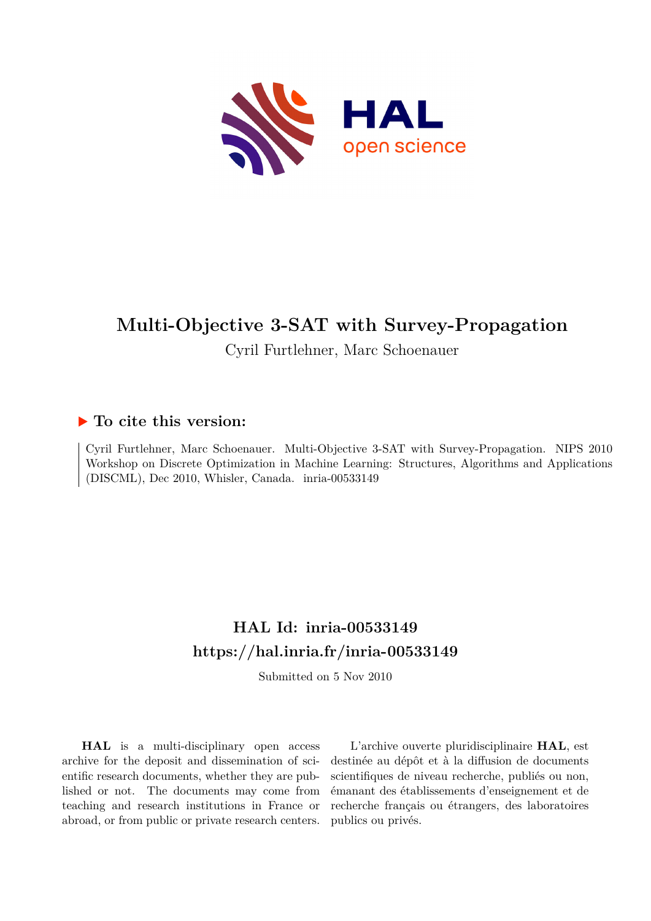

# **Multi-Objective 3-SAT with Survey-Propagation**

Cyril Furtlehner, Marc Schoenauer

# **To cite this version:**

Cyril Furtlehner, Marc Schoenauer. Multi-Objective 3-SAT with Survey-Propagation. NIPS 2010 Workshop on Discrete Optimization in Machine Learning: Structures, Algorithms and Applications  $(DISCML)$ , Dec 2010, Whisler, Canada. inria-00533149

# **HAL Id: inria-00533149 <https://hal.inria.fr/inria-00533149>**

Submitted on 5 Nov 2010

**HAL** is a multi-disciplinary open access archive for the deposit and dissemination of scientific research documents, whether they are published or not. The documents may come from teaching and research institutions in France or abroad, or from public or private research centers.

L'archive ouverte pluridisciplinaire **HAL**, est destinée au dépôt et à la diffusion de documents scientifiques de niveau recherche, publiés ou non, émanant des établissements d'enseignement et de recherche français ou étrangers, des laboratoires publics ou privés.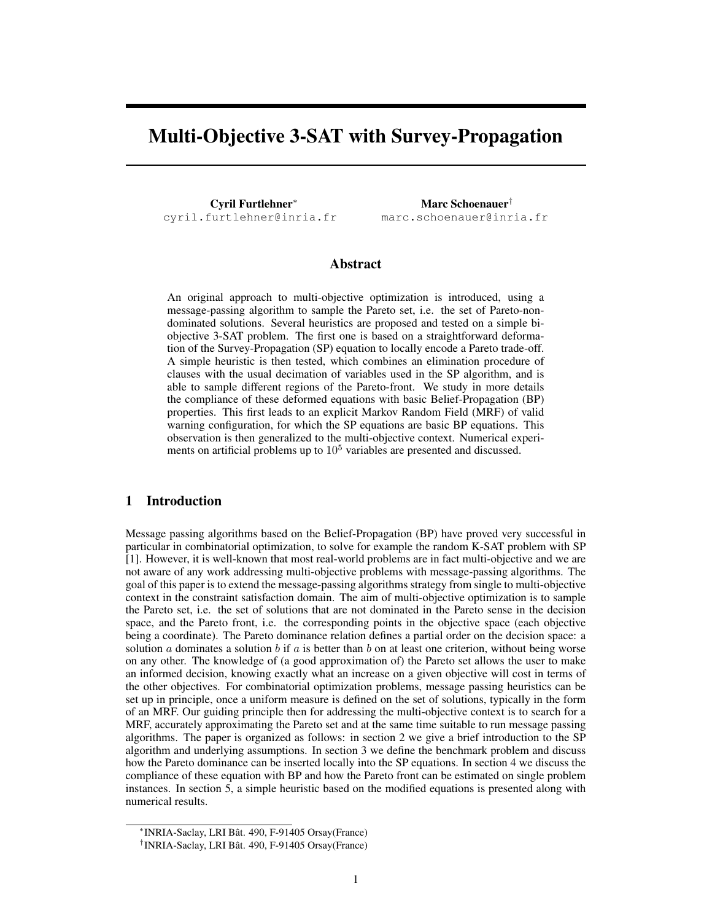# Multi-Objective 3-SAT with Survey-Propagation

Cyril Furtlehner<sup>∗</sup> cyril.furtlehner@inria.fr

Marc Schoenauer† marc.schoenauer@inria.fr

## Abstract

An original approach to multi-objective optimization is introduced, using a message-passing algorithm to sample the Pareto set, i.e. the set of Pareto-nondominated solutions. Several heuristics are proposed and tested on a simple biobjective 3-SAT problem. The first one is based on a straightforward deformation of the Survey-Propagation (SP) equation to locally encode a Pareto trade-off. A simple heuristic is then tested, which combines an elimination procedure of clauses with the usual decimation of variables used in the SP algorithm, and is able to sample different regions of the Pareto-front. We study in more details the compliance of these deformed equations with basic Belief-Propagation (BP) properties. This first leads to an explicit Markov Random Field (MRF) of valid warning configuration, for which the SP equations are basic BP equations. This observation is then generalized to the multi-objective context. Numerical experiments on artificial problems up to  $10<sup>5</sup>$  variables are presented and discussed.

## 1 Introduction

Message passing algorithms based on the Belief-Propagation (BP) have proved very successful in particular in combinatorial optimization, to solve for example the random K-SAT problem with SP [1]. However, it is well-known that most real-world problems are in fact multi-objective and we are not aware of any work addressing multi-objective problems with message-passing algorithms. The goal of this paper is to extend the message-passing algorithms strategy from single to multi-objective context in the constraint satisfaction domain. The aim of multi-objective optimization is to sample the Pareto set, i.e. the set of solutions that are not dominated in the Pareto sense in the decision space, and the Pareto front, i.e. the corresponding points in the objective space (each objective being a coordinate). The Pareto dominance relation defines a partial order on the decision space: a solution a dominates a solution b if a is better than b on at least one criterion, without being worse on any other. The knowledge of (a good approximation of) the Pareto set allows the user to make an informed decision, knowing exactly what an increase on a given objective will cost in terms of the other objectives. For combinatorial optimization problems, message passing heuristics can be set up in principle, once a uniform measure is defined on the set of solutions, typically in the form of an MRF. Our guiding principle then for addressing the multi-objective context is to search for a MRF, accurately approximating the Pareto set and at the same time suitable to run message passing algorithms. The paper is organized as follows: in section 2 we give a brief introduction to the SP algorithm and underlying assumptions. In section 3 we define the benchmark problem and discuss how the Pareto dominance can be inserted locally into the SP equations. In section 4 we discuss the compliance of these equation with BP and how the Pareto front can be estimated on single problem instances. In section 5, a simple heuristic based on the modified equations is presented along with numerical results.

<sup>∗</sup> INRIA-Saclay, LRI Bât. 490, F-91405 Orsay(France)

<sup>†</sup> INRIA-Saclay, LRI Bât. 490, F-91405 Orsay(France)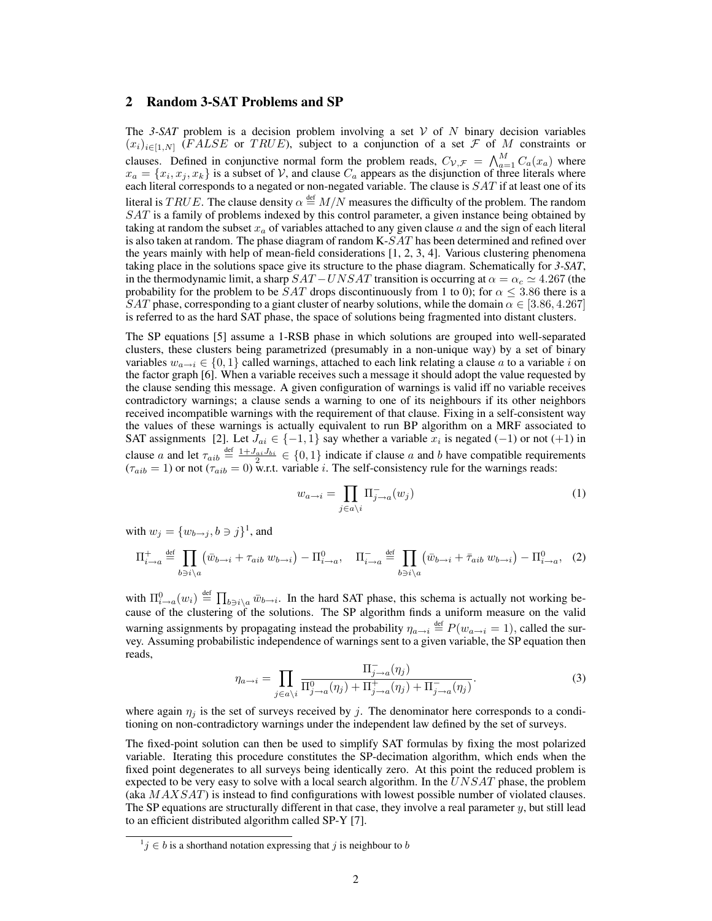## 2 Random 3-SAT Problems and SP

The *3-SAT* problem is a decision problem involving a set  $V$  of N binary decision variables  $(x_i)_{i\in[1,N]}$  (FALSE or TRUE), subject to a conjunction of a set F of M constraints or clauses. Defined in conjunctive normal form the problem reads,  $C_{\mathcal{V},\mathcal{F}} = \bigwedge_{a=1}^M C_a(x_a)$  where  $x_a = \{x_i, x_j, x_k\}$  is a subset of V, and clause  $C_a$  appears as the disjunction of three literals where each literal corresponds to a negated or non-negated variable. The clause is  $SAT$  if at least one of its literal is  $TRUE$ . The clause density  $\alpha \stackrel{\text{def}}{=} M/N$  measures the difficulty of the problem. The random SAT is a family of problems indexed by this control parameter, a given instance being obtained by taking at random the subset  $x_a$  of variables attached to any given clause  $a$  and the sign of each literal is also taken at random. The phase diagram of random K-SAT has been determined and refined over the years mainly with help of mean-field considerations [1, 2, 3, 4]. Various clustering phenomena taking place in the solutions space give its structure to the phase diagram. Schematically for *3-SAT*, in the thermodynamic limit, a sharp  $SAT - UNSAT$  transition is occurring at  $\alpha = \alpha_c \simeq 4.267$  (the probability for the problem to be  $SAT$  drops discontinuously from 1 to 0); for  $\alpha \leq 3.86$  there is a SAT phase, corresponding to a giant cluster of nearby solutions, while the domain  $\alpha \in [3.86, 4.267]$ is referred to as the hard SAT phase, the space of solutions being fragmented into distant clusters.

The SP equations [5] assume a 1-RSB phase in which solutions are grouped into well-separated clusters, these clusters being parametrized (presumably in a non-unique way) by a set of binary variables  $w_{a\to i} \in \{0,1\}$  called warnings, attached to each link relating a clause a to a variable i on the factor graph [6]. When a variable receives such a message it should adopt the value requested by the clause sending this message. A given configuration of warnings is valid iff no variable receives contradictory warnings; a clause sends a warning to one of its neighbours if its other neighbors received incompatible warnings with the requirement of that clause. Fixing in a self-consistent way the values of these warnings is actually equivalent to run BP algorithm on a MRF associated to SAT assignments [2]. Let  $J_{ai} \in \{-1,1\}$  say whether a variable  $x_i$  is negated (-1) or not (+1) in clause a and let  $\tau_{aib} \stackrel{\text{def}}{=} \frac{1+J_{ai}J_{bi}}{2} \in \{0,1\}$  indicate if clause a and b have compatible requirements  $(\tau_{aib} = 1)$  or not  $(\tau_{aib} = 0)$  w.r.t. variable *i*. The self-consistency rule for the warnings reads:

$$
w_{a \to i} = \prod_{j \in a \setminus i} \Pi_{j \to a}^{-}(w_j)
$$
\n(1)

with  $w_j = \{w_{b \rightarrow j}, b \ni j\}^1$ , and

$$
\Pi_{i\to a}^{+} \stackrel{\text{def}}{=} \prod_{b \ni i \setminus a} \left( \bar{w}_{b \to i} + \tau_{aib} \ w_{b \to i} \right) - \Pi_{i \to a}^{0}, \quad \Pi_{i \to a}^{-} \stackrel{\text{def}}{=} \prod_{b \ni i \setminus a} \left( \bar{w}_{b \to i} + \bar{\tau}_{aib} \ w_{b \to i} \right) - \Pi_{i \to a}^{0}, \quad (2)
$$

with  $\Pi_{i\to a}^0(w_i) \stackrel{\text{def}}{=} \prod_{b\ni i\setminus a} \bar{w}_{b\to i}$ . In the hard SAT phase, this schema is actually not working because of the clustering of the solutions. The SP algorithm finds a uniform measure on the valid warning assignments by propagating instead the probability  $\eta_{a\to i} \stackrel{\text{def}}{=} P(w_{a\to i} = 1)$ , called the survey. Assuming probabilistic independence of warnings sent to a given variable, the SP equation then reads,

$$
\eta_{a \to i} = \prod_{j \in a \setminus i} \frac{\Pi_{j \to a}^-(\eta_j)}{\Pi_{j \to a}^0(\eta_j) + \Pi_{j \to a}^+(\eta_j) + \Pi_{j \to a}^-(\eta_j)}.
$$
\n(3)

where again  $\eta_i$  is the set of surveys received by j. The denominator here corresponds to a conditioning on non-contradictory warnings under the independent law defined by the set of surveys.

The fixed-point solution can then be used to simplify SAT formulas by fixing the most polarized variable. Iterating this procedure constitutes the SP-decimation algorithm, which ends when the fixed point degenerates to all surveys being identically zero. At this point the reduced problem is expected to be very easy to solve with a local search algorithm. In the  $UNSAT$  phase, the problem (aka  $MAXSAT$ ) is instead to find configurations with lowest possible number of violated clauses. The SP equations are structurally different in that case, they involve a real parameter  $y$ , but still lead to an efficient distributed algorithm called SP-Y [7].

 $j \in b$  is a shorthand notation expressing that j is neighbour to b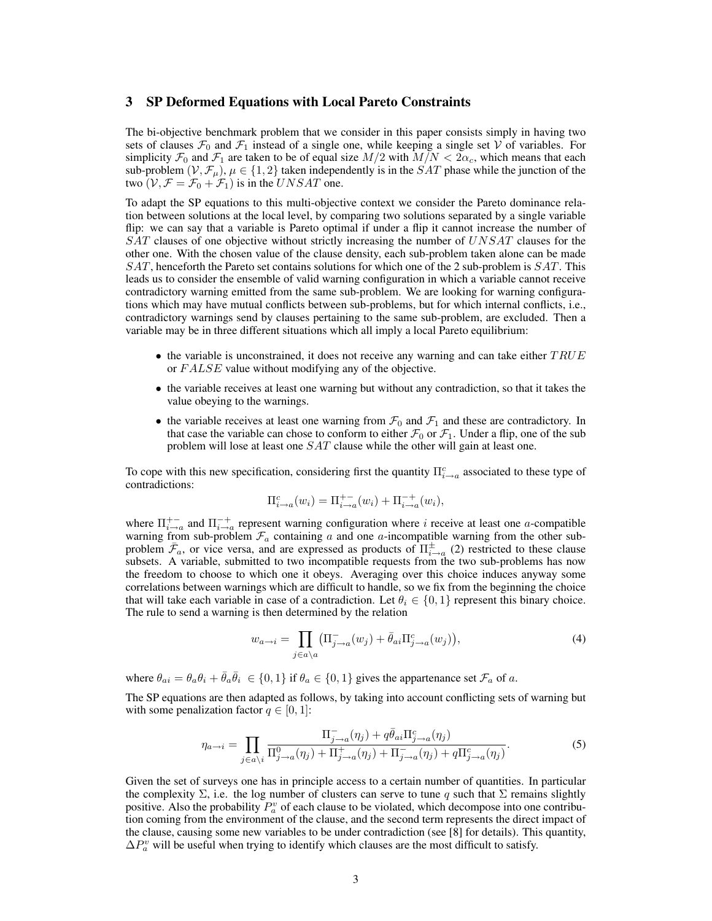#### 3 SP Deformed Equations with Local Pareto Constraints

The bi-objective benchmark problem that we consider in this paper consists simply in having two sets of clauses  $\mathcal{F}_0$  and  $\mathcal{F}_1$  instead of a single one, while keeping a single set V of variables. For simplicity  $\mathcal{F}_0$  and  $\mathcal{F}_1$  are taken to be of equal size  $M/2$  with  $M/N < 2\alpha_c$ , which means that each sub-problem  $(\mathcal{V}, \mathcal{F}_{\mu})$ ,  $\mu \in \{1, 2\}$  taken independently is in the SAT phase while the junction of the two  $(\mathcal{V}, \mathcal{F} = \mathcal{F}_0 + \mathcal{F}_1)$  is in the  $UNSAT$  one.

To adapt the SP equations to this multi-objective context we consider the Pareto dominance relation between solutions at the local level, by comparing two solutions separated by a single variable flip: we can say that a variable is Pareto optimal if under a flip it cannot increase the number of SAT clauses of one objective without strictly increasing the number of UNSAT clauses for the other one. With the chosen value of the clause density, each sub-problem taken alone can be made SAT, henceforth the Pareto set contains solutions for which one of the 2 sub-problem is SAT. This leads us to consider the ensemble of valid warning configuration in which a variable cannot receive contradictory warning emitted from the same sub-problem. We are looking for warning configurations which may have mutual conflicts between sub-problems, but for which internal conflicts, i.e., contradictory warnings send by clauses pertaining to the same sub-problem, are excluded. Then a variable may be in three different situations which all imply a local Pareto equilibrium:

- the variable is unconstrained, it does not receive any warning and can take either  $TRUE$ or FALSE value without modifying any of the objective.
- the variable receives at least one warning but without any contradiction, so that it takes the value obeying to the warnings.
- the variable receives at least one warning from  $\mathcal{F}_0$  and  $\mathcal{F}_1$  and these are contradictory. In that case the variable can chose to conform to either  $\mathcal{F}_0$  or  $\mathcal{F}_1$ . Under a flip, one of the sub problem will lose at least one SAT clause while the other will gain at least one.

To cope with this new specification, considering first the quantity  $\Pi_{i\to a}^c$  associated to these type of contradictions:

$$
\Pi_{i \to a}^{c}(w_i) = \Pi_{i \to a}^{+-}(w_i) + \Pi_{i \to a}^{-+}(w_i),
$$

where  $\Pi_{i\to a}^{+-}$  and  $\Pi_{i\to a}^{-+}$  represent warning configuration where i receive at least one a-compatible warning from sub-problem  $\mathcal{F}_a$  containing a and one a-incompatible warning from the other subproblem  $\bar{\mathcal{F}}_a$ , or vice versa, and are expressed as products of  $\Pi_{i\to a}^{\pm}$  (2) restricted to these clause subsets. A variable, submitted to two incompatible requests from the two sub-problems has now the freedom to choose to which one it obeys. Averaging over this choice induces anyway some correlations between warnings which are difficult to handle, so we fix from the beginning the choice that will take each variable in case of a contradiction. Let  $\theta_i \in \{0, 1\}$  represent this binary choice. The rule to send a warning is then determined by the relation

$$
w_{a \to i} = \prod_{j \in a \setminus a} \left( \Pi_{j \to a}^{-}(w_j) + \bar{\theta}_{ai} \Pi_{j \to a}^{c}(w_j) \right),\tag{4}
$$

where  $\theta_{ai} = \theta_a \theta_i + \bar{\theta}_a \bar{\theta}_i \in \{0, 1\}$  if  $\theta_a \in \{0, 1\}$  gives the appartenance set  $\mathcal{F}_a$  of a.

The SP equations are then adapted as follows, by taking into account conflicting sets of warning but with some penalization factor  $q \in [0, 1]$ :

$$
\eta_{a\to i} = \prod_{j\in a\backslash i} \frac{\Pi_{j\to a}^-(\eta_j) + q\bar{\theta}_{ai}\Pi_{j\to a}^c(\eta_j)}{\Pi_{j\to a}^0(\eta_j) + \Pi_{j\to a}^+(\eta_j) + \Pi_{j\to a}^-(\eta_j) + q\Pi_{j\to a}^c(\eta_j)}.
$$
\n(5)

Given the set of surveys one has in principle access to a certain number of quantities. In particular the complexity  $\Sigma$ , i.e. the log number of clusters can serve to tune q such that  $\Sigma$  remains slightly positive. Also the probability  $P_a^v$  of each clause to be violated, which decompose into one contribution coming from the environment of the clause, and the second term represents the direct impact of the clause, causing some new variables to be under contradiction (see [8] for details). This quantity,  $\Delta P_a^v$  will be useful when trying to identify which clauses are the most difficult to satisfy.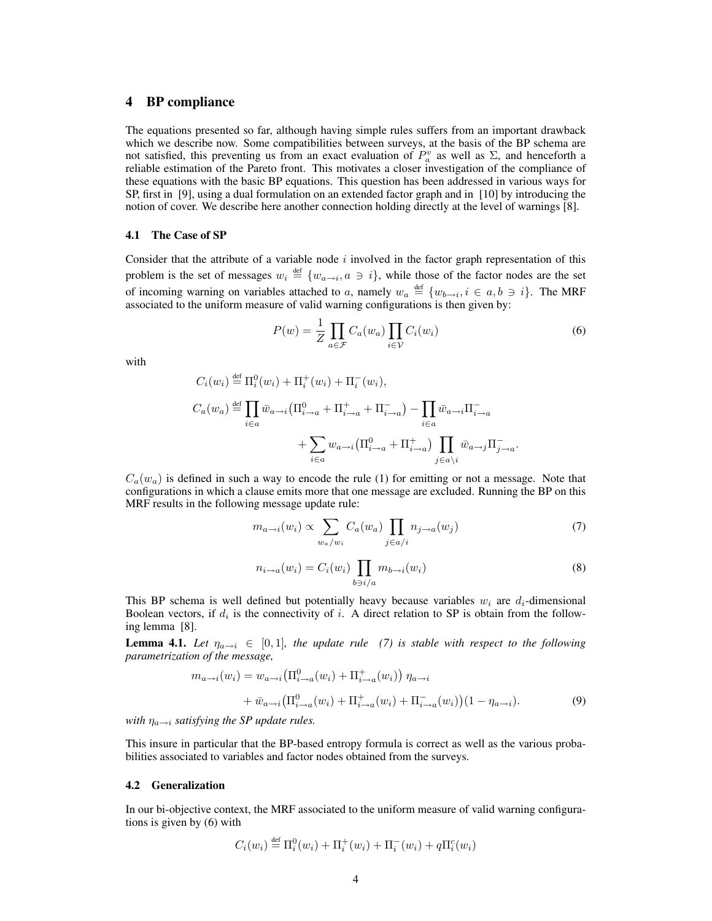### 4 BP compliance

The equations presented so far, although having simple rules suffers from an important drawback which we describe now. Some compatibilities between surveys, at the basis of the BP schema are not satisfied, this preventing us from an exact evaluation of  $P_a^v$  as well as  $\Sigma$ , and henceforth a reliable estimation of the Pareto front. This motivates a closer investigation of the compliance of these equations with the basic BP equations. This question has been addressed in various ways for SP, first in [9], using a dual formulation on an extended factor graph and in [10] by introducing the notion of cover. We describe here another connection holding directly at the level of warnings [8].

#### 4.1 The Case of SP

Consider that the attribute of a variable node  $i$  involved in the factor graph representation of this problem is the set of messages  $w_i \stackrel{\text{def}}{=} \{w_{a \to i}, a \ni i\}$ , while those of the factor nodes are the set of incoming warning on variables attached to a, namely  $w_a \stackrel{\text{def}}{=} \{w_{b \to i}, i \in a, b \ni i\}$ . The MRF associated to the uniform measure of valid warning configurations is then given by:

$$
P(w) = \frac{1}{Z} \prod_{a \in \mathcal{F}} C_a(w_a) \prod_{i \in \mathcal{V}} C_i(w_i)
$$
 (6)

with

$$
C_i(w_i) \stackrel{\text{def}}{=} \Pi_i^0(w_i) + \Pi_i^+(w_i) + \Pi_i^-(w_i),
$$
  
\n
$$
C_a(w_a) \stackrel{\text{def}}{=} \prod_{i \in a} \bar{w}_{a \to i} (\Pi_{i \to a}^0 + \Pi_{i \to a}^+ + \Pi_{i \to a}^-) - \prod_{i \in a} \bar{w}_{a \to i} \Pi_{i \to a}^- + \sum_{i \in a} w_{a \to i} (\Pi_{i \to a}^0 + \Pi_{i \to a}^+) \prod_{j \in a \setminus i} \bar{w}_{a \to j} \Pi_{j \to a}^-.
$$

 $C_a(w_a)$  is defined in such a way to encode the rule (1) for emitting or not a message. Note that configurations in which a clause emits more that one message are excluded. Running the BP on this MRF results in the following message update rule:

$$
m_{a \to i}(w_i) \propto \sum_{w_a/w_i} C_a(w_a) \prod_{j \in a/i} n_{j \to a}(w_j)
$$
 (7)

$$
n_{i \to a}(w_i) = C_i(w_i) \prod_{b \ni i/a} m_{b \to i}(w_i)
$$
\n(8)

This BP schema is well defined but potentially heavy because variables  $w_i$  are  $d_i$ -dimensional Boolean vectors, if  $d_i$  is the connectivity of i. A direct relation to SP is obtain from the following lemma [8].

**Lemma 4.1.** Let  $\eta_{a\to i} \in [0,1]$ , the update rule (7) is stable with respect to the following *parametrization of the message,*

$$
m_{a \to i}(w_i) = w_{a \to i} \left( \Pi_{i \to a}^0(w_i) + \Pi_{i \to a}^+(w_i) \right) \eta_{a \to i}
$$
  
+ 
$$
\bar{w}_{a \to i} \left( \Pi_{i \to a}^0(w_i) + \Pi_{i \to a}^+(w_i) + \Pi_{i \to a}^-(w_i) \right) (1 - \eta_{a \to i}).
$$
 (9)

*with*  $\eta_{a\rightarrow i}$  *satisfying the SP update rules.* 

This insure in particular that the BP-based entropy formula is correct as well as the various probabilities associated to variables and factor nodes obtained from the surveys.

#### 4.2 Generalization

In our bi-objective context, the MRF associated to the uniform measure of valid warning configurations is given by (6) with

$$
C_i(w_i) \stackrel{\text{def}}{=} \Pi_i^0(w_i) + \Pi_i^+(w_i) + \Pi_i^-(w_i) + q \Pi_i^c(w_i)
$$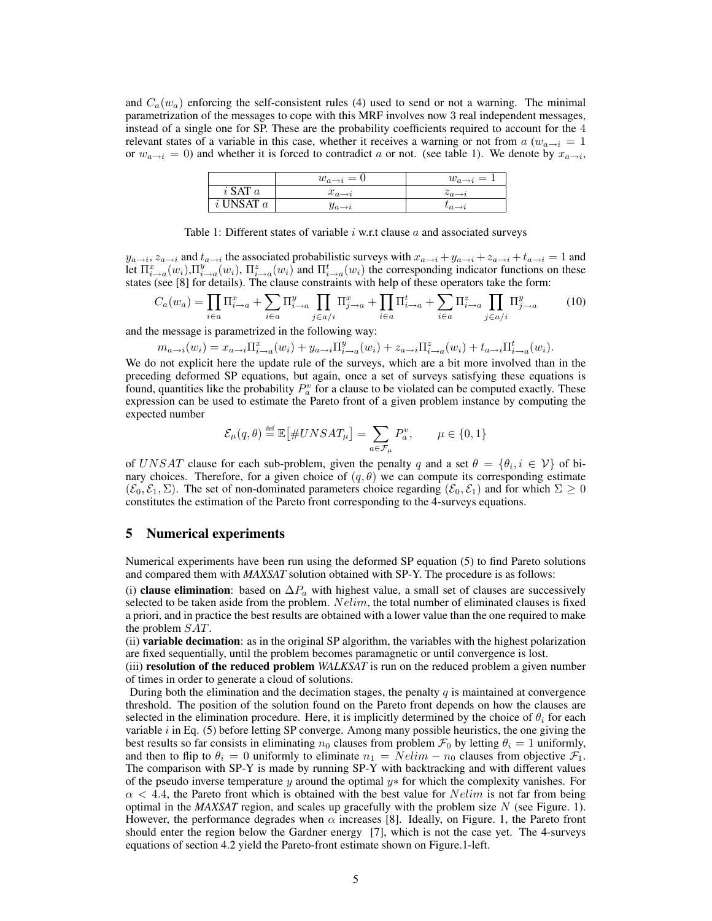and  $C_a(w_a)$  enforcing the self-consistent rules (4) used to send or not a warning. The minimal parametrization of the messages to cope with this MRF involves now 3 real independent messages, instead of a single one for SP. These are the probability coefficients required to account for the 4 relevant states of a variable in this case, whether it receives a warning or not from a  $(w_{a\rightarrow i} = 1)$ or  $w_{a\to i} = 0$ ) and whether it is forced to contradict a or not. (see table 1). We denote by  $x_{a\to i}$ ,

|               | $w_{a\rightarrow i}=0$ | $w_{a\rightarrow i}=1$   |
|---------------|------------------------|--------------------------|
| $i$ SAT $a$   | $x_{a\rightarrow i}$   | $z_{a\rightarrow i}$     |
| $i$ UNSAT $a$ | $y_{a\rightarrow i}$   | $\iota_{a\rightarrow i}$ |

Table 1: Different states of variable  $i$  w.r.t clause  $a$  and associated surveys

 $y_{a\to i}$ ,  $z_{a\to i}$  and  $t_{a\to i}$  the associated probabilistic surveys with  $x_{a\to i} + y_{a\to i} + z_{a\to i} + t_{a\to i} = 1$  and let  $\Pi_{i\to a}^x(w_i), \Pi_{i\to a}^y(w_i), \Pi_{i\to a}^z(w_i)$  and  $\Pi_{i\to a}^t(w_i)$  the corresponding indicator functions on these states (see [8] for details). The clause constraints with help of these operators take the form:

$$
C_a(w_a) = \prod_{i \in a} \Pi_{i \to a}^x + \sum_{i \in a} \Pi_{i \to a}^y \prod_{j \in a/i} \Pi_{j \to a}^x + \prod_{i \in a} \Pi_{i \to a}^t + \sum_{i \in a} \Pi_{i \to a}^z \prod_{j \in a/i} \Pi_{j \to a}^y \tag{10}
$$

and the message is parametrized in the following way:

$$
m_{a\to i}(w_i) = x_{a\to i} \Pi_{i\to a}^x(w_i) + y_{a\to i} \Pi_{i\to a}^y(w_i) + z_{a\to i} \Pi_{i\to a}^z(w_i) + t_{a\to i} \Pi_{i\to a}^t(w_i).
$$

We do not explicit here the update rule of the surveys, which are a bit more involved than in the preceding deformed SP equations, but again, once a set of surveys satisfying these equations is found, quantities like the probability  $P_a^v$  for a clause to be violated can be computed exactly. These expression can be used to estimate the Pareto front of a given problem instance by computing the expected number

$$
\mathcal{E}_{\mu}(q,\theta) \stackrel{\text{def}}{=} \mathbb{E} \big[ \#UNSAT_{\mu} \big] = \sum_{a \in \mathcal{F}_{\mu}} P_{a}^{v}, \qquad \mu \in \{0,1\}
$$

of UNSAT clause for each sub-problem, given the penalty q and a set  $\theta = \{\theta_i, i \in \mathcal{V}\}\$  of binary choices. Therefore, for a given choice of  $(q, \theta)$  we can compute its corresponding estimate  $(\mathcal{E}_0, \mathcal{E}_1, \Sigma)$ . The set of non-dominated parameters choice regarding  $(\mathcal{E}_0, \mathcal{E}_1)$  and for which  $\Sigma \geq 0$ constitutes the estimation of the Pareto front corresponding to the 4-surveys equations.

#### 5 Numerical experiments

Numerical experiments have been run using the deformed SP equation (5) to find Pareto solutions and compared them with *MAXSAT* solution obtained with SP-Y. The procedure is as follows:

(i) clause elimination: based on  $\Delta P_a$  with highest value, a small set of clauses are successively selected to be taken aside from the problem.  $Nelim$ , the total number of eliminated clauses is fixed a priori, and in practice the best results are obtained with a lower value than the one required to make the problem SAT.

(ii) variable decimation: as in the original SP algorithm, the variables with the highest polarization are fixed sequentially, until the problem becomes paramagnetic or until convergence is lost.

(iii) resolution of the reduced problem *WALKSAT* is run on the reduced problem a given number of times in order to generate a cloud of solutions.

During both the elimination and the decimation stages, the penalty  $q$  is maintained at convergence threshold. The position of the solution found on the Pareto front depends on how the clauses are selected in the elimination procedure. Here, it is implicitly determined by the choice of  $\theta_i$  for each variable  $i$  in Eq. (5) before letting SP converge. Among many possible heuristics, the one giving the best results so far consists in eliminating  $n_0$  clauses from problem  $\mathcal{F}_0$  by letting  $\theta_i = 1$  uniformly, and then to flip to  $\theta_i = 0$  uniformly to eliminate  $n_1 = N \cdot \text{elim} - n_0$  clauses from objective  $\mathcal{F}_1$ . The comparison with SP-Y is made by running SP-Y with backtracking and with different values of the pseudo inverse temperature y around the optimal  $y*$  for which the complexity vanishes. For  $\alpha$  < 4.4, the Pareto front which is obtained with the best value for  $Nelim$  is not far from being optimal in the *MAXSAT* region, and scales up gracefully with the problem size N (see Figure. 1). However, the performance degrades when  $\alpha$  increases [8]. Ideally, on Figure. 1, the Pareto front should enter the region below the Gardner energy [7], which is not the case yet. The 4-surveys equations of section 4.2 yield the Pareto-front estimate shown on Figure.1-left.